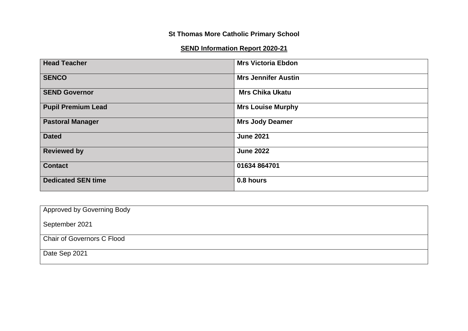# **St Thomas More Catholic Primary School**

# **SEND Information Report 2020-21**

| <b>Head Teacher</b>       | <b>Mrs Victoria Ebdon</b>  |
|---------------------------|----------------------------|
| <b>SENCO</b>              | <b>Mrs Jennifer Austin</b> |
| <b>SEND Governor</b>      | <b>Mrs Chika Ukatu</b>     |
| <b>Pupil Premium Lead</b> | <b>Mrs Louise Murphy</b>   |
| <b>Pastoral Manager</b>   | <b>Mrs Jody Deamer</b>     |
| <b>Dated</b>              | <b>June 2021</b>           |
| <b>Reviewed by</b>        | <b>June 2022</b>           |
| <b>Contact</b>            | 01634 864701               |
| <b>Dedicated SEN time</b> | 0.8 hours                  |

| Approved by Governing Body |  |
|----------------------------|--|
| September 2021             |  |
| Chair of Governors C Flood |  |
| Date Sep 2021              |  |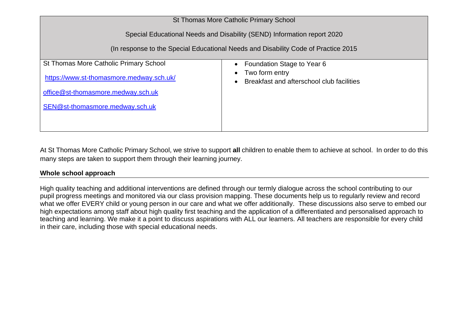| St Thomas More Catholic Primary School                                              |                                                             |  |  |  |
|-------------------------------------------------------------------------------------|-------------------------------------------------------------|--|--|--|
| Special Educational Needs and Disability (SEND) Information report 2020             |                                                             |  |  |  |
| (In response to the Special Educational Needs and Disability Code of Practice 2015) |                                                             |  |  |  |
| <b>St Thomas More Catholic Primary School</b>                                       | Foundation Stage to Year 6                                  |  |  |  |
| https://www.st-thomasmore.medway.sch.uk/                                            | Two form entry<br>Breakfast and afterschool club facilities |  |  |  |
| office@st-thomasmore.medway.sch.uk                                                  |                                                             |  |  |  |
| SEN@st-thomasmore.medway.sch.uk                                                     |                                                             |  |  |  |
|                                                                                     |                                                             |  |  |  |
|                                                                                     |                                                             |  |  |  |

At St Thomas More Catholic Primary School, we strive to support **all** children to enable them to achieve at school. In order to do this many steps are taken to support them through their learning journey.

## **Whole school approach**

High quality teaching and additional interventions are defined through our termly dialogue across the school contributing to our pupil progress meetings and monitored via our class provision mapping. These documents help us to regularly review and record what we offer EVERY child or young person in our care and what we offer additionally. These discussions also serve to embed our high expectations among staff about high quality first teaching and the application of a differentiated and personalised approach to teaching and learning. We make it a point to discuss aspirations with ALL our learners. All teachers are responsible for every child in their care, including those with special educational needs.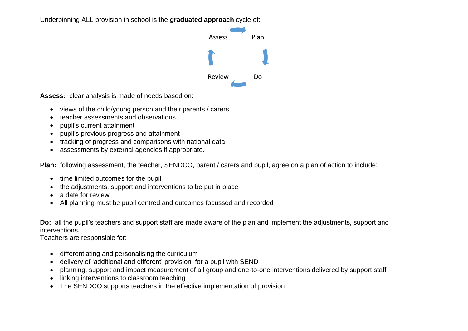Underpinning ALL provision in school is the **graduated approach** cycle of:



**Assess:** clear analysis is made of needs based on:

- views of the child/young person and their parents / carers
- teacher assessments and observations
- pupil's current attainment
- pupil's previous progress and attainment
- tracking of progress and comparisons with national data
- assessments by external agencies if appropriate.

**Plan:** following assessment, the teacher, SENDCO, parent / carers and pupil, agree on a plan of action to include:

- time limited outcomes for the pupil
- the adjustments, support and interventions to be put in place
- a date for review
- All planning must be pupil centred and outcomes focussed and recorded

**Do:** all the pupil's teachers and support staff are made aware of the plan and implement the adjustments, support and interventions.

Teachers are responsible for:

- differentiating and personalising the curriculum
- delivery of 'additional and different' provision for a pupil with SEND
- planning, support and impact measurement of all group and one-to-one interventions delivered by support staff
- linking interventions to classroom teaching
- The SENDCO supports teachers in the effective implementation of provision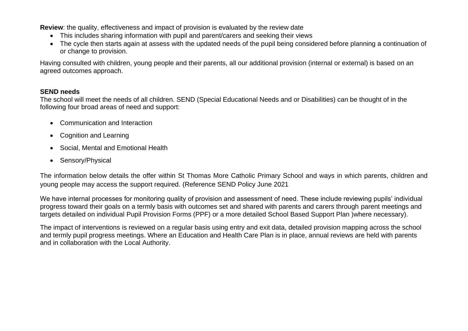**Review**: the quality, effectiveness and impact of provision is evaluated by the review date

- This includes sharing information with pupil and parent/carers and seeking their views
- The cycle then starts again at assess with the updated needs of the pupil being considered before planning a continuation of or change to provision.

Having consulted with children, young people and their parents, all our additional provision (internal or external) is based on an agreed outcomes approach.

## **SEND needs**

The school will meet the needs of all children. SEND (Special Educational Needs and or Disabilities) can be thought of in the following four broad areas of need and support:

- Communication and Interaction
- Cognition and Learning
- Social, Mental and Emotional Health
- Sensory/Physical

The information below details the offer within St Thomas More Catholic Primary School and ways in which parents, children and young people may access the support required. (Reference SEND Policy June 2021

We have internal processes for monitoring quality of provision and assessment of need. These include reviewing pupils' individual progress toward their goals on a termly basis with outcomes set and shared with parents and carers through parent meetings and targets detailed on individual Pupil Provision Forms (PPF) or a more detailed School Based Support Plan )where necessary).

The impact of interventions is reviewed on a regular basis using entry and exit data, detailed provision mapping across the school and termly pupil progress meetings. Where an Education and Health Care Plan is in place, annual reviews are held with parents and in collaboration with the Local Authority.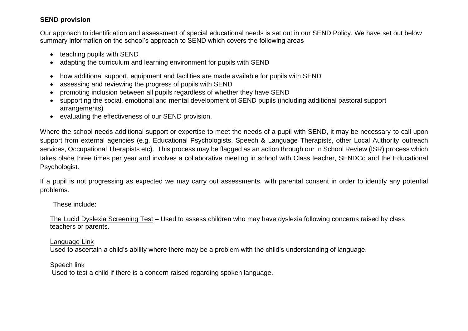# **SEND provision**

Our approach to identification and assessment of special educational needs is set out in our SEND Policy. We have set out below summary information on the school's approach to SEND which covers the following areas

- teaching pupils with SEND
- adapting the curriculum and learning environment for pupils with SEND
- how additional support, equipment and facilities are made available for pupils with SEND
- assessing and reviewing the progress of pupils with SEND
- promoting inclusion between all pupils regardless of whether they have SEND
- supporting the social, emotional and mental development of SEND pupils (including additional pastoral support arrangements)
- evaluating the effectiveness of our SEND provision.

Where the school needs additional support or expertise to meet the needs of a pupil with SEND, it may be necessary to call upon support from external agencies (e.g. Educational Psychologists, Speech & Language Therapists, other Local Authority outreach services, Occupational Therapists etc). This process may be flagged as an action through our In School Review (ISR) process which takes place three times per year and involves a collaborative meeting in school with Class teacher, SENDCo and the Educational Psychologist.

If a pupil is not progressing as expected we may carry out assessments, with parental consent in order to identify any potential problems.

These include:

The Lucid Dyslexia Screening Test – Used to assess children who may have dyslexia following concerns raised by class teachers or parents.

### Language Link

Used to ascertain a child's ability where there may be a problem with the child's understanding of language.

## Speech link

Used to test a child if there is a concern raised regarding spoken language.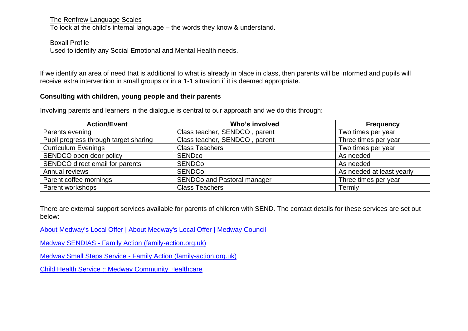The Renfrew Language Scales

To look at the child's internal language – the words they know & understand.

Boxall Profile

Used to identify any Social Emotional and Mental Health needs.

If we identify an area of need that is additional to what is already in place in class, then parents will be informed and pupils will receive extra intervention in small groups or in a 1-1 situation if it is deemed appropriate.

### **Consulting with children, young people and their parents**

Involving parents and learners in the dialogue is central to our approach and we do this through:

| <b>Action/Event</b>                   | Who's involved                     | <b>Frequency</b>          |
|---------------------------------------|------------------------------------|---------------------------|
| Parents evening                       | Class teacher, SENDCO, parent      | Two times per year        |
| Pupil progress through target sharing | Class teacher, SENDCO, parent      | Three times per year      |
| <b>Curriculum Evenings</b>            | <b>Class Teachers</b>              | Two times per year        |
| SENDCO open door policy               | <b>SEND<sub>co</sub></b>           | As needed                 |
| SENDCO direct email for parents       | <b>SENDCo</b>                      | As needed                 |
| Annual reviews                        | <b>SENDCo</b>                      | As needed at least yearly |
| Parent coffee mornings                | <b>SENDCo and Pastoral manager</b> | Three times per year      |
| Parent workshops                      | <b>Class Teachers</b>              | Termly                    |

There are external support services available for parents of children with SEND. The contact details for these services are set out below:

[About Medway's Local Offer | About Medway's Local Offer | Medway Council](https://www.medway.gov.uk/info/200307/local_offer/831/about_medways_local_offer)

Medway SENDIAS - [Family Action \(family-action.org.uk\)](https://www.family-action.org.uk/what-we-do/children-families/send/medway-sendias/)

Medway Small Steps Service - [Family Action \(family-action.org.uk\)](https://www.family-action.org.uk/what-we-do/children-families/medway-small-steps-service/)

[Child Health Service :: Medway Community Healthcare](https://www.medwaycommunityhealthcare.nhs.uk/our-services/a-z-services/child-health-service)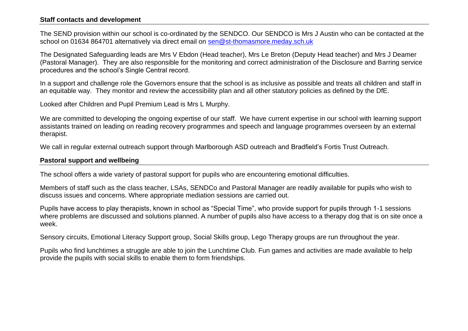#### **Staff contacts and development**

The SEND provision within our school is co-ordinated by the SENDCO. Our SENDCO is Mrs J Austin who can be contacted at the school on 01634 864701 alternatively via direct email on [sen@st-thomasmore.meday.sch.uk](mailto:sen@st-thomasmore.meday.sch.uk)

The Designated Safeguarding leads are Mrs V Ebdon (Head teacher), Mrs Le Breton (Deputy Head teacher) and Mrs J Deamer (Pastoral Manager). They are also responsible for the monitoring and correct administration of the Disclosure and Barring service procedures and the school's Single Central record.

In a support and challenge role the Governors ensure that the school is as inclusive as possible and treats all children and staff in an equitable way. They monitor and review the accessibility plan and all other statutory policies as defined by the DfE.

Looked after Children and Pupil Premium Lead is Mrs L Murphy.

We are committed to developing the ongoing expertise of our staff. We have current expertise in our school with learning support assistants trained on leading on reading recovery programmes and speech and language programmes overseen by an external therapist.

We call in regular external outreach support through Marlborough ASD outreach and Bradfield's Fortis Trust Outreach.

#### **Pastoral support and wellbeing**

The school offers a wide variety of pastoral support for pupils who are encountering emotional difficulties.

Members of staff such as the class teacher, LSAs, SENDCo and Pastoral Manager are readily available for pupils who wish to discuss issues and concerns. Where appropriate mediation sessions are carried out.

Pupils have access to play therapists, known in school as "Special Time", who provide support for pupils through 1-1 sessions where problems are discussed and solutions planned. A number of pupils also have access to a therapy dog that is on site once a week.

Sensory circuits, Emotional Literacy Support group, Social Skills group, Lego Therapy groups are run throughout the year.

Pupils who find lunchtimes a struggle are able to join the Lunchtime Club. Fun games and activities are made available to help provide the pupils with social skills to enable them to form friendships.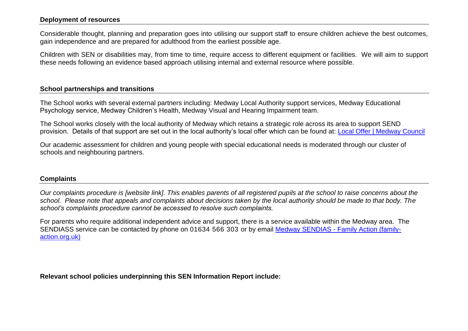#### **Deployment of resources**

Considerable thought, planning and preparation goes into utilising our support staff to ensure children achieve the best outcomes, gain independence and are prepared for adulthood from the earliest possible age.

Children with SEN or disabilities may, from time to time, require access to different equipment or facilities. We will aim to support these needs following an evidence based approach utilising internal and external resource where possible.

### **School partnerships and transitions**

The School works with several external partners including: Medway Local Authority support services, Medway Educational Psychology service, Medway Children's Health, Medway Visual and Hearing Impairment team.

The School works closely with the local authority of Medway which retains a strategic role across its area to support SEND provision. Details of that support are set out in the local authority's local offer which can be found at: [Local Offer | Medway Council](https://www.medway.gov.uk/localoffer)

Our academic assessment for children and young people with special educational needs is moderated through our cluster of schools and neighbouring partners.

#### **Complaints**

*Our complaints procedure is [website link]. This enables parents of all registered pupils at the school to raise concerns about the school. Please note that appeals and complaints about decisions taken by the local authority should be made to that body. The school's complaints procedure cannot be accessed to resolve such complaints.*

For parents who require additional independent advice and support, there is a service available within the Medway area. The SENDIASS service can be contacted by phone on 01634 566 303 or by email Medway SENDIAS - [Family Action \(family](https://www.family-action.org.uk/what-we-do/children-families/send/medway-sendias/)[action.org.uk\)](https://www.family-action.org.uk/what-we-do/children-families/send/medway-sendias/)

**Relevant school policies underpinning this SEN Information Report include:**